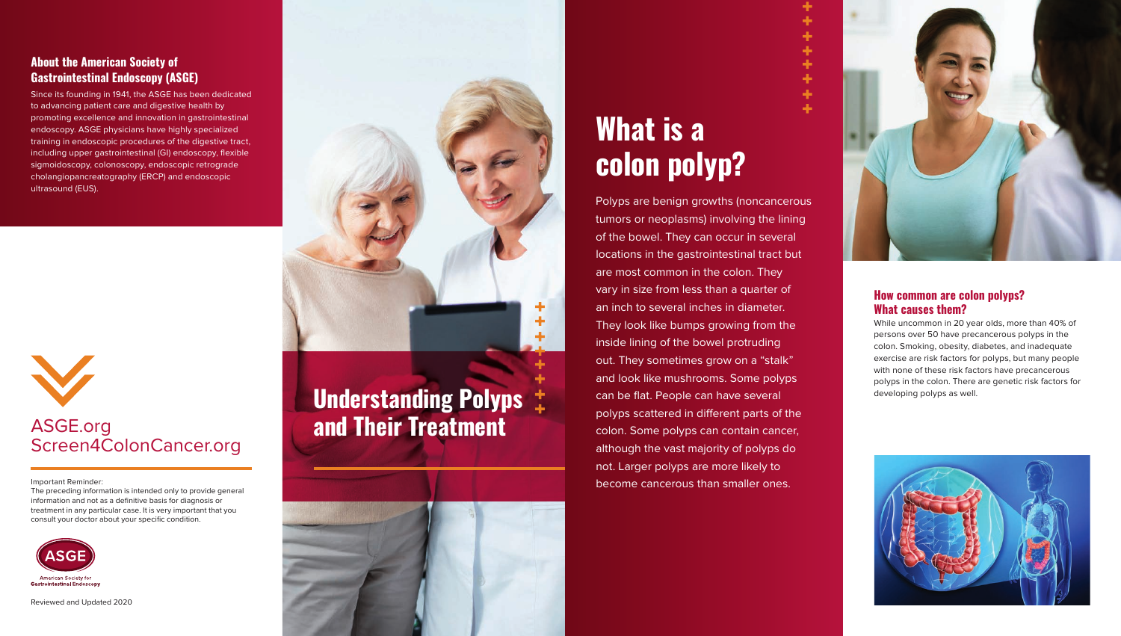## **What is a colon polyp?**

Polyps are benign growths (noncancerous tumors or neoplasms) involving the lining of the bowel. They can occur in several locations in the gastrointestinal tract but are most common in the colon. They vary in size from less than a quarter of an inch to several inches in diameter. They look like bumps growing from the inside lining of the bowel protruding out. They sometimes grow on a "stalk" and look like mushrooms. Some polyps can be flat. People can have several polyps scattered in different parts of the colon. Some polyps can contain cancer, although the vast majority of polyps do not. Larger polyps are more likely to become cancerous than smaller ones. **Understanding Polyps and be flat. People can have several and the computation of the seveloping polyps as well.** 

÷ ÷ ÷



The preceding information is intended only to provide general information and not as a definitive basis for diagnosis or treatment in any particular case. It is very important that you consult your doctor about your specific condition.



#### **How common are colon polyps? What causes them?**

While uncommon in 20 year olds, more than 40% of persons over 50 have precancerous polyps in the colon. Smoking, obesity, diabetes, and inadequate exercise are risk factors for polyps, but many people with none of these risk factors have precancerous polyps in the colon. There are genetic risk factors for



# **and Their Treatment**



Reviewed and Updated 2020





## Screen4ColonCancer.org

Important Reminder:

#### **About the American Society of Gastrointestinal Endoscopy (ASGE)**

Since its founding in 1941, the ASGE has been dedicated to advancing patient care and digestive health by promoting excellence and innovation in gastrointestinal endoscopy. ASGE physicians have highly specialized training in endoscopic procedures of the digestive tract, including upper gastrointestinal (GI) endoscopy, flexible sigmoidoscopy, colonoscopy, endoscopic retrograde cholangiopancreatography (ERCP) and endoscopic ultrasound (EUS).